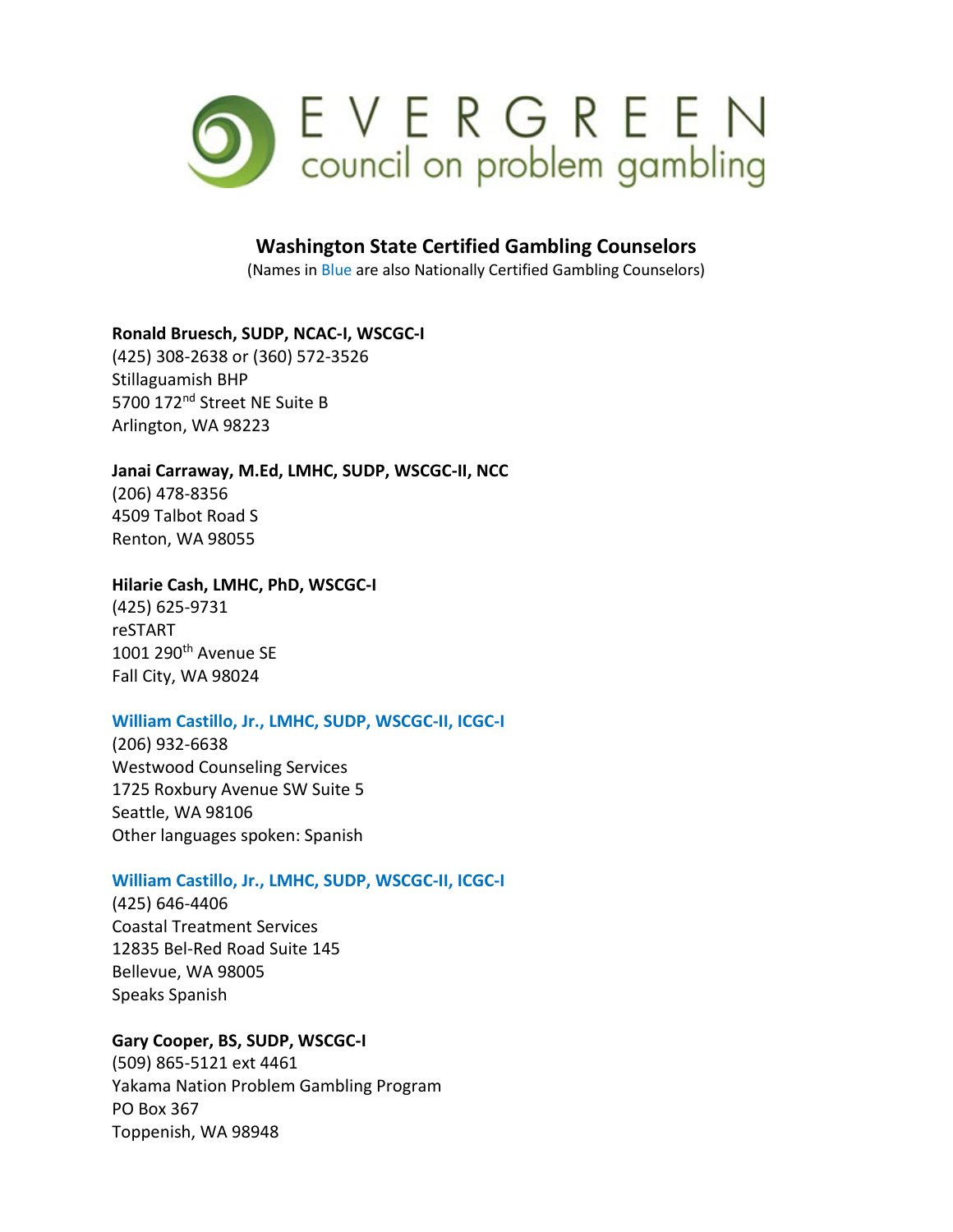

# **Washington State Certified Gambling Counselors**

(Names in Blue are also Nationally Certified Gambling Counselors)

## **Ronald Bruesch, SUDP, NCAC-I, WSCGC-I**

(425) 308-2638 or (360) 572-3526 Stillaguamish BHP 5700 172nd Street NE Suite B Arlington, WA 98223

## **Janai Carraway, M.Ed, LMHC, SUDP, WSCGC-II, NCC**

(206) 478-8356 4509 Talbot Road S Renton, WA 98055

### **Hilarie Cash, LMHC, PhD, WSCGC-I**

(425) 625-9731 reSTART 1001 290th Avenue SE Fall City, WA 98024

## **William Castillo, Jr., LMHC, SUDP, WSCGC-II, ICGC-I**

(206) 932-6638 Westwood Counseling Services 1725 Roxbury Avenue SW Suite 5 Seattle, WA 98106 Other languages spoken: Spanish

## **William Castillo, Jr., LMHC, SUDP, WSCGC-II, ICGC-I**

(425) 646-4406 Coastal Treatment Services 12835 Bel-Red Road Suite 145 Bellevue, WA 98005 Speaks Spanish

## **Gary Cooper, BS, SUDP, WSCGC-I**

(509) 865-5121 ext 4461 Yakama Nation Problem Gambling Program PO Box 367 Toppenish, WA 98948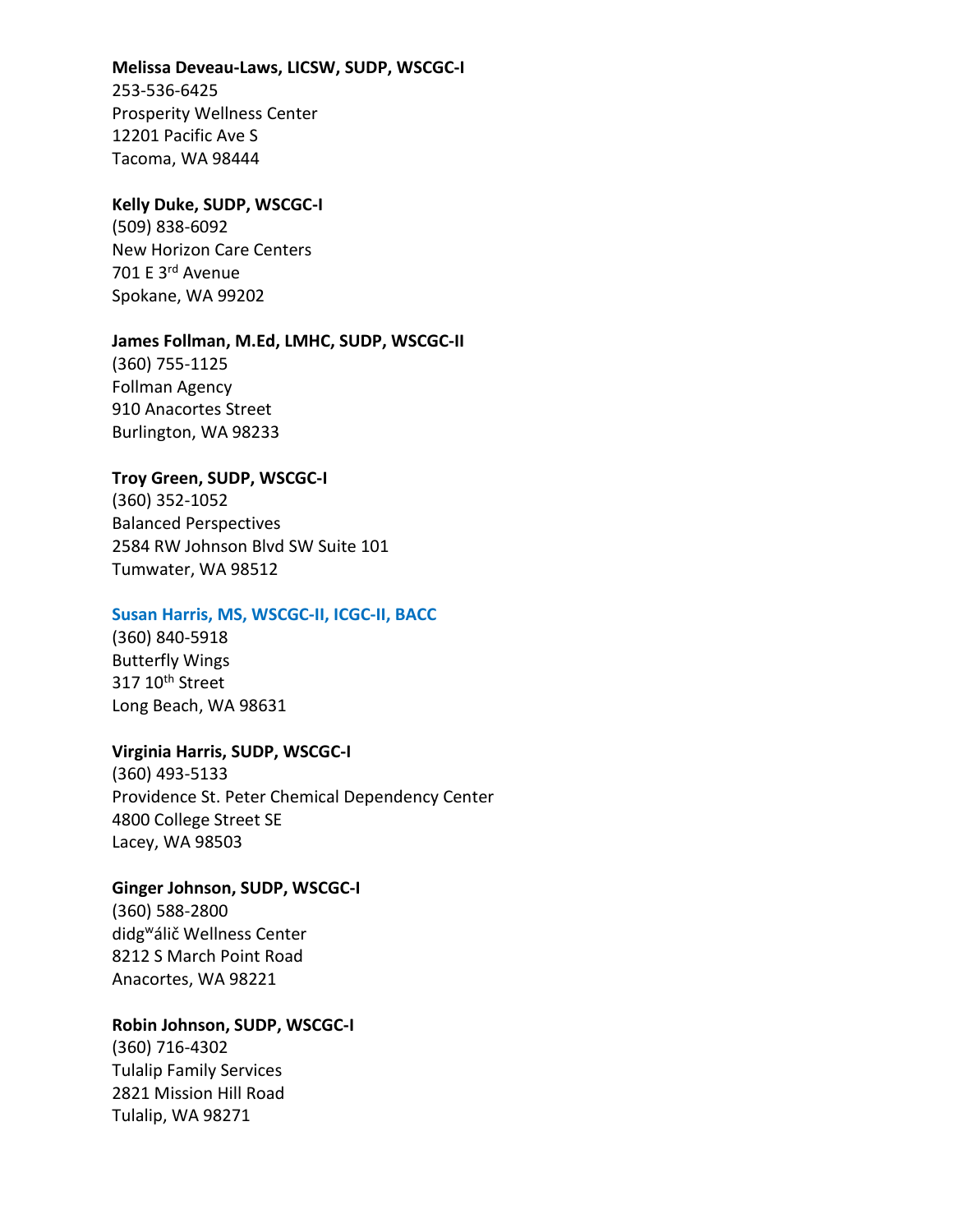#### **Melissa Deveau-Laws, LICSW, SUDP, WSCGC-I**

253-536-6425 Prosperity Wellness Center 12201 Pacific Ave S Tacoma, WA 98444

### **Kelly Duke, SUDP, WSCGC-I**

(509) 838-6092 New Horizon Care Centers 701 E 3rd Avenue Spokane, WA 99202

### **James Follman, M.Ed, LMHC, SUDP, WSCGC-II**

(360) 755-1125 Follman Agency 910 Anacortes Street Burlington, WA 98233

## **Troy Green, SUDP, WSCGC-I**

(360) 352-1052 Balanced Perspectives 2584 RW Johnson Blvd SW Suite 101 Tumwater, WA 98512

### **Susan Harris, MS, WSCGC-II, ICGC-II, BACC**

(360) 840-5918 Butterfly Wings 317 10<sup>th</sup> Street Long Beach, WA 98631

## **Virginia Harris, SUDP, WSCGC-I**

(360) 493-5133 Providence St. Peter Chemical Dependency Center 4800 College Street SE Lacey, WA 98503

## **Ginger Johnson, SUDP, WSCGC-I**

(360) 588-2800 didgwálič Wellness Center 8212 S March Point Road Anacortes, WA 98221

## **Robin Johnson, SUDP, WSCGC-I**

(360) 716-4302 Tulalip Family Services 2821 Mission Hill Road Tulalip, WA 98271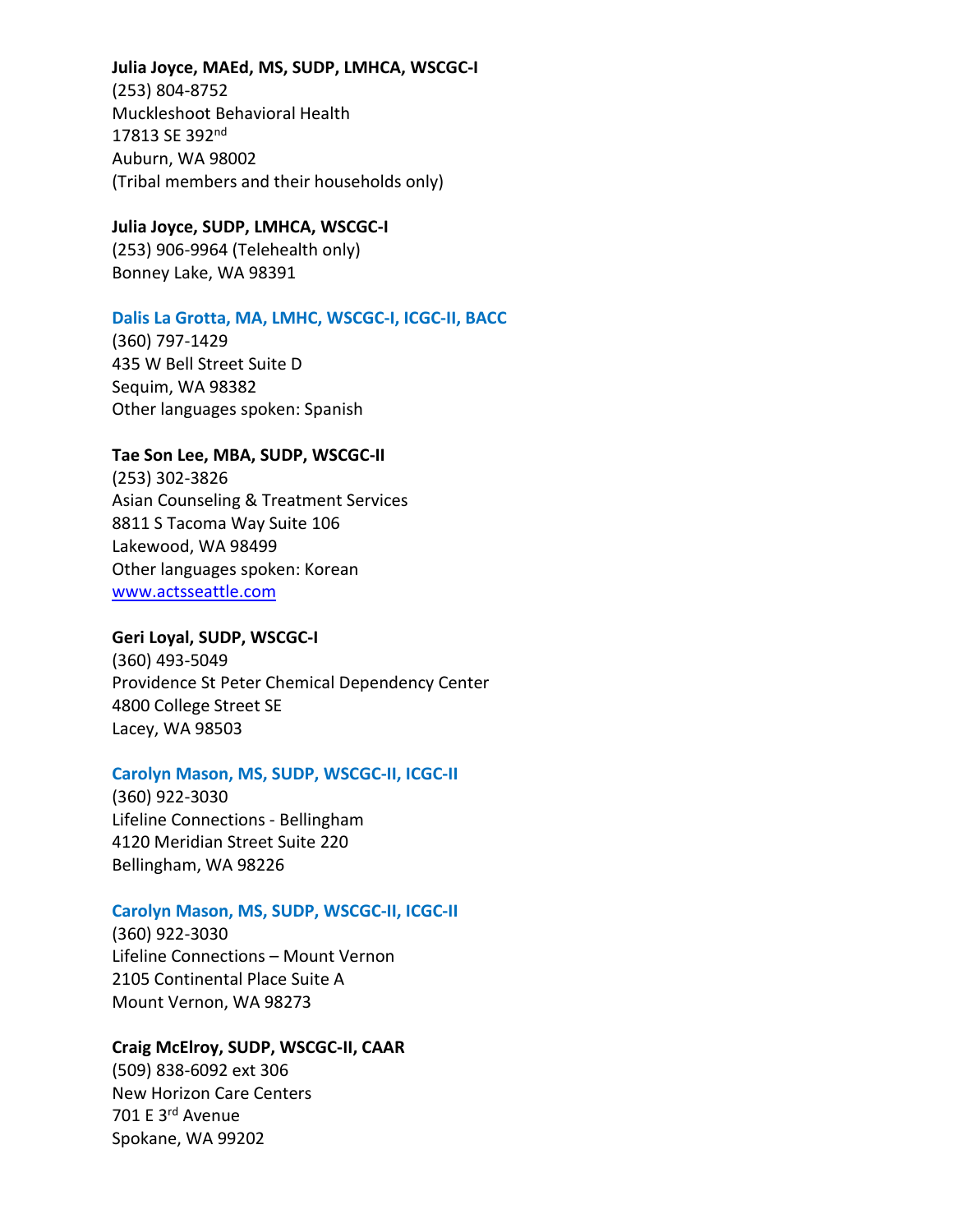**Julia Joyce, MAEd, MS, SUDP, LMHCA, WSCGC-I** (253) 804-8752 Muckleshoot Behavioral Health 17813 SE 392<sup>nd</sup> Auburn, WA 98002 (Tribal members and their households only)

# **Julia Joyce, SUDP, LMHCA, WSCGC-I**

(253) 906-9964 (Telehealth only) Bonney Lake, WA 98391

## **Dalis La Grotta, MA, LMHC, WSCGC-I, ICGC-II, BACC**

(360) 797-1429 435 W Bell Street Suite D Sequim, WA 98382 Other languages spoken: Spanish

## **Tae Son Lee, MBA, SUDP, WSCGC-II**

(253) 302-3826 Asian Counseling & Treatment Services 8811 S Tacoma Way Suite 106 Lakewood, WA 98499 Other languages spoken: Korean [www.actsseattle.com](http://www.actsseattle.com/)

## **Geri Loyal, SUDP, WSCGC-I**

(360) 493-5049 Providence St Peter Chemical Dependency Center 4800 College Street SE Lacey, WA 98503

## **Carolyn Mason, MS, SUDP, WSCGC-II, ICGC-II**

(360) 922-3030 Lifeline Connections - Bellingham 4120 Meridian Street Suite 220 Bellingham, WA 98226

## **Carolyn Mason, MS, SUDP, WSCGC-II, ICGC-II**

(360) 922-3030 Lifeline Connections – Mount Vernon 2105 Continental Place Suite A Mount Vernon, WA 98273

## **Craig McElroy, SUDP, WSCGC-II, CAAR**

(509) 838-6092 ext 306 New Horizon Care Centers 701 E 3rd Avenue Spokane, WA 99202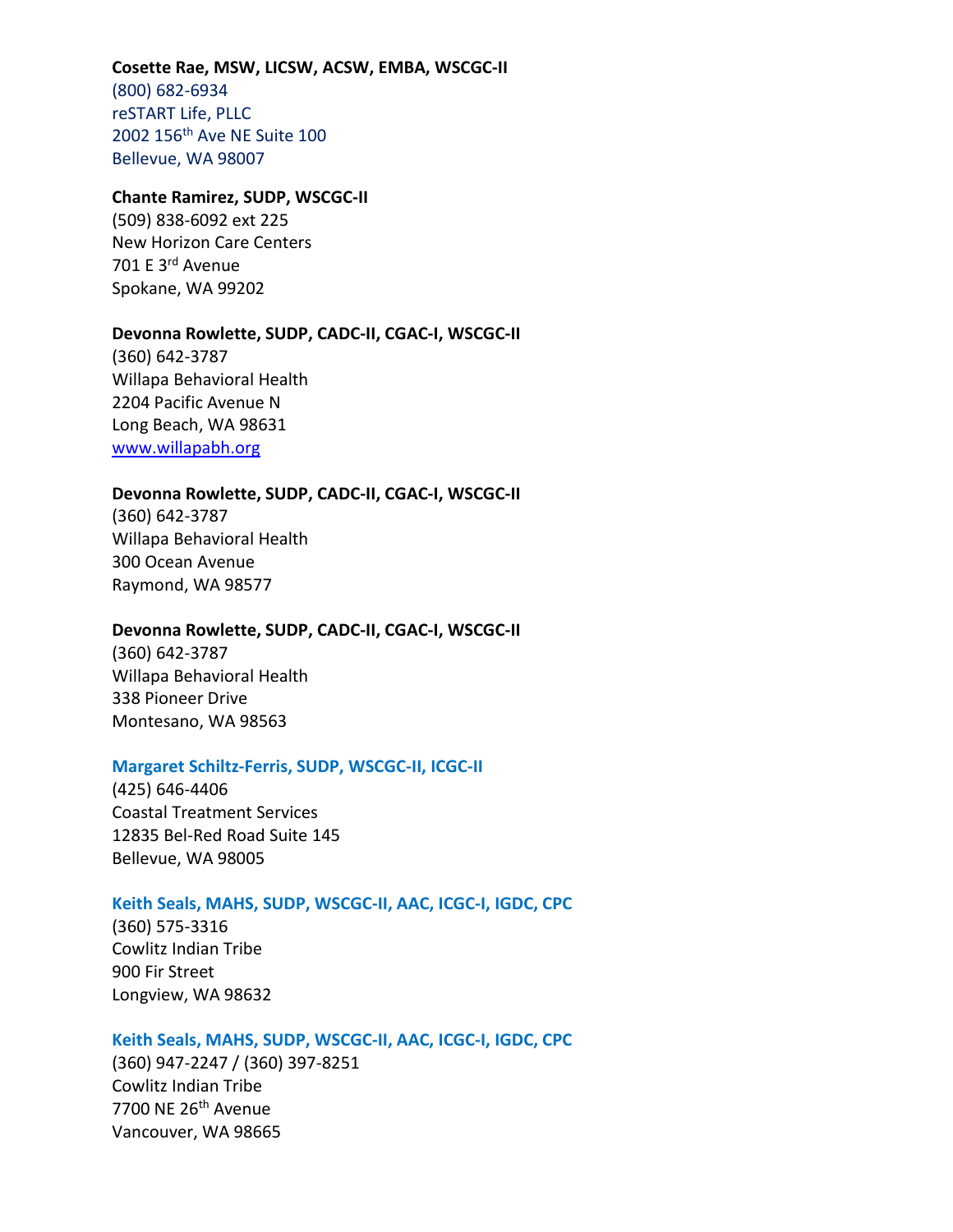#### **Cosette Rae, MSW, LICSW, ACSW, EMBA, WSCGC-II**

(800) 682-6934 reSTART Life, PLLC 2002 156th Ave NE Suite 100 Bellevue, WA 98007

#### **Chante Ramirez, SUDP, WSCGC-II**

(509) 838-6092 ext 225 New Horizon Care Centers 701 E 3rd Avenue Spokane, WA 99202

#### **Devonna Rowlette, SUDP, CADC-II, CGAC-I, WSCGC-II**

(360) 642-3787 Willapa Behavioral Health 2204 Pacific Avenue N Long Beach, WA 98631 [www.willapabh.org](http://www.willapabh.org/)

#### **Devonna Rowlette, SUDP, CADC-II, CGAC-I, WSCGC-II**

(360) 642-3787 Willapa Behavioral Health 300 Ocean Avenue Raymond, WA 98577

#### **Devonna Rowlette, SUDP, CADC-II, CGAC-I, WSCGC-II**

(360) 642-3787 Willapa Behavioral Health 338 Pioneer Drive Montesano, WA 98563

#### **Margaret Schiltz-Ferris, SUDP, WSCGC-II, ICGC-II**

(425) 646-4406 Coastal Treatment Services 12835 Bel-Red Road Suite 145 Bellevue, WA 98005

#### **Keith Seals, MAHS, SUDP, WSCGC-II, AAC, ICGC-I, IGDC, CPC**

(360) 575-3316 Cowlitz Indian Tribe 900 Fir Street Longview, WA 98632

### **Keith Seals, MAHS, SUDP, WSCGC-II, AAC, ICGC-I, IGDC, CPC**

(360) 947-2247 / (360) 397-8251 Cowlitz Indian Tribe 7700 NE 26th Avenue Vancouver, WA 98665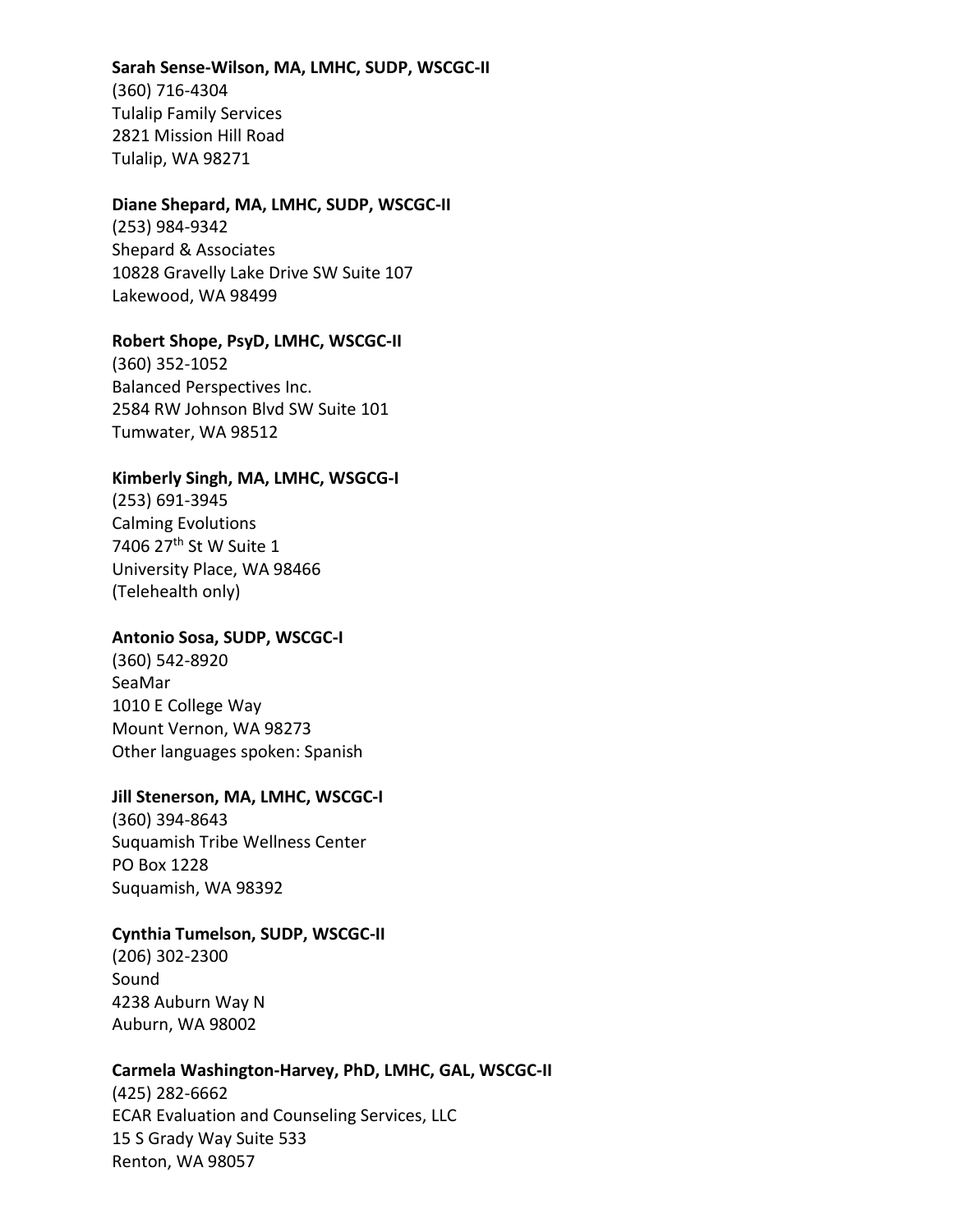### **Sarah Sense-Wilson, MA, LMHC, SUDP, WSCGC-II**

(360) 716-4304 Tulalip Family Services 2821 Mission Hill Road Tulalip, WA 98271

### **Diane Shepard, MA, LMHC, SUDP, WSCGC-II**

(253) 984-9342 Shepard & Associates 10828 Gravelly Lake Drive SW Suite 107 Lakewood, WA 98499

### **Robert Shope, PsyD, LMHC, WSCGC-II**

(360) 352-1052 Balanced Perspectives Inc. 2584 RW Johnson Blvd SW Suite 101 Tumwater, WA 98512

### **Kimberly Singh, MA, LMHC, WSGCG-I**

(253) 691-3945 Calming Evolutions 7406 27<sup>th</sup> St W Suite 1 University Place, WA 98466 (Telehealth only)

### **Antonio Sosa, SUDP, WSCGC-I**

(360) 542-8920 SeaMar 1010 E College Way Mount Vernon, WA 98273 Other languages spoken: Spanish

### **Jill Stenerson, MA, LMHC, WSCGC-I**

(360) 394-8643 Suquamish Tribe Wellness Center PO Box 1228 Suquamish, WA 98392

### **Cynthia Tumelson, SUDP, WSCGC-II**

(206) 302-2300 Sound 4238 Auburn Way N Auburn, WA 98002

#### **Carmela Washington-Harvey, PhD, LMHC, GAL, WSCGC-II**

(425) 282-6662 ECAR Evaluation and Counseling Services, LLC 15 S Grady Way Suite 533 Renton, WA 98057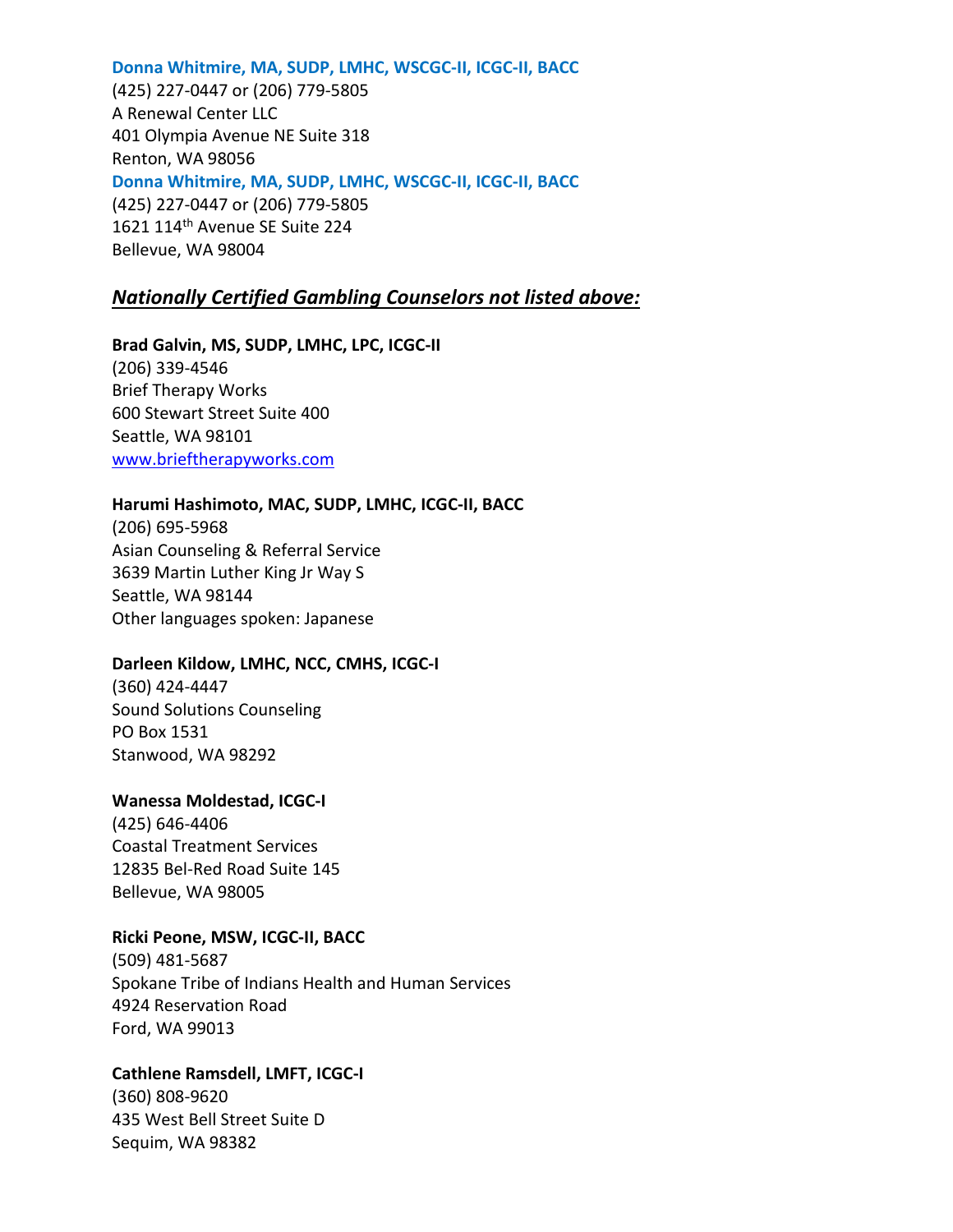**Donna Whitmire, MA, SUDP, LMHC, WSCGC-II, ICGC-II, BACC** (425) 227-0447 or (206) 779-5805 A Renewal Center LLC 401 Olympia Avenue NE Suite 318 Renton, WA 98056 **Donna Whitmire, MA, SUDP, LMHC, WSCGC-II, ICGC-II, BACC** (425) 227-0447 or (206) 779-5805 1621 114<sup>th</sup> Avenue SE Suite 224 Bellevue, WA 98004

## *Nationally Certified Gambling Counselors not listed above:*

**Brad Galvin, MS, SUDP, LMHC, LPC, ICGC-II** (206) 339-4546 Brief Therapy Works 600 Stewart Street Suite 400 Seattle, WA 98101 [www.brieftherapyworks.com](http://www.brieftherapyworks.com/)

### **Harumi Hashimoto, MAC, SUDP, LMHC, ICGC-II, BACC**

(206) 695-5968 Asian Counseling & Referral Service 3639 Martin Luther King Jr Way S Seattle, WA 98144 Other languages spoken: Japanese

## **Darleen Kildow, LMHC, NCC, CMHS, ICGC-I**

(360) 424-4447 Sound Solutions Counseling PO Box 1531 Stanwood, WA 98292

### **Wanessa Moldestad, ICGC-I**

(425) 646-4406 Coastal Treatment Services 12835 Bel-Red Road Suite 145 Bellevue, WA 98005

## **Ricki Peone, MSW, ICGC-II, BACC**

(509) 481-5687 Spokane Tribe of Indians Health and Human Services 4924 Reservation Road Ford, WA 99013

## **Cathlene Ramsdell, LMFT, ICGC-I**

(360) 808-9620 435 West Bell Street Suite D Sequim, WA 98382